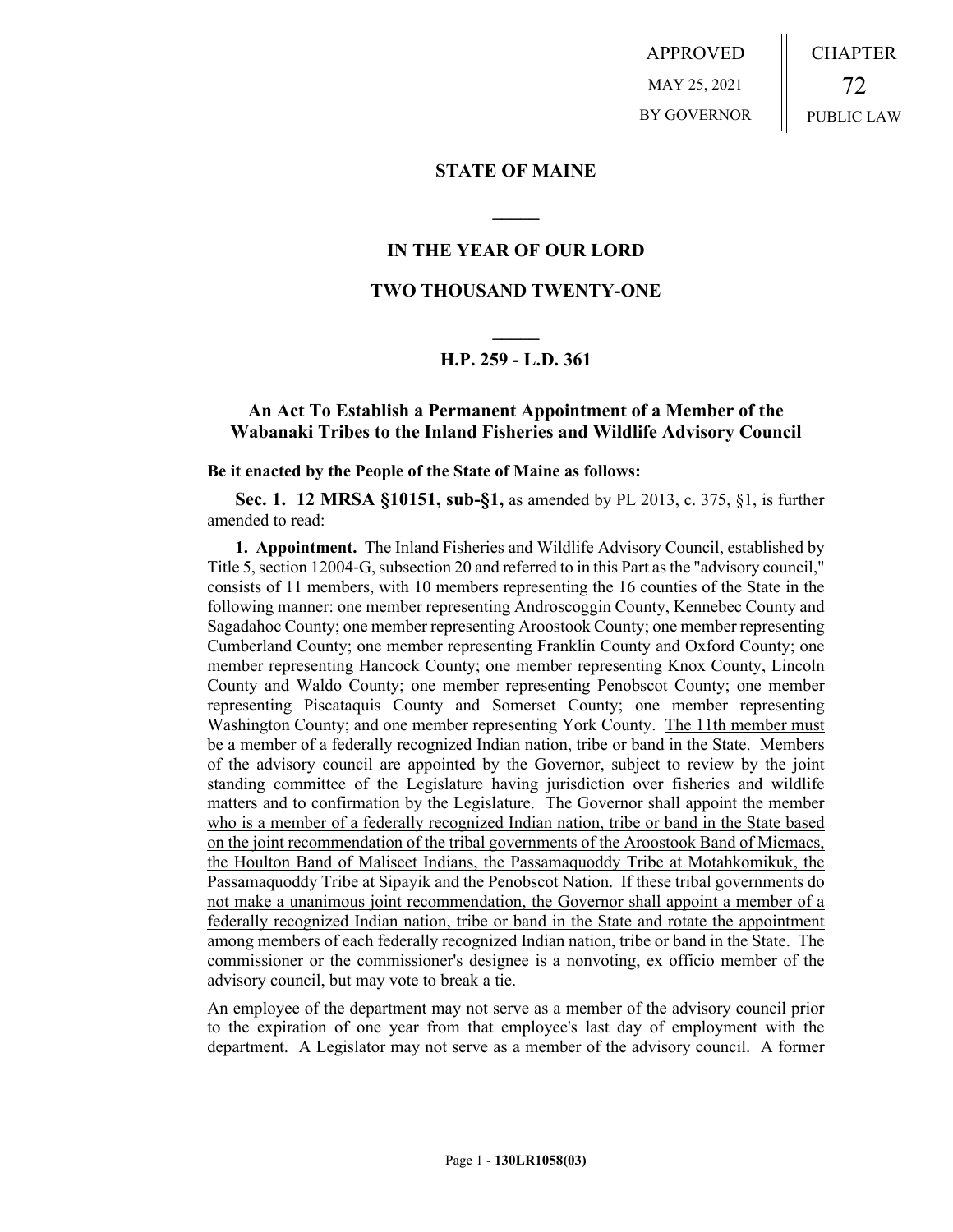APPROVED MAY 25, 2021 BY GOVERNOR CHAPTER 72 PUBLIC LAW

### **STATE OF MAINE**

# **IN THE YEAR OF OUR LORD**

**\_\_\_\_\_**

# **TWO THOUSAND TWENTY-ONE**

# **\_\_\_\_\_ H.P. 259 - L.D. 361**

# **An Act To Establish a Permanent Appointment of a Member of the Wabanaki Tribes to the Inland Fisheries and Wildlife Advisory Council**

#### **Be it enacted by the People of the State of Maine as follows:**

**Sec. 1. 12 MRSA §10151, sub-§1,** as amended by PL 2013, c. 375, §1, is further amended to read:

**1. Appointment.** The Inland Fisheries and Wildlife Advisory Council, established by Title 5, section 12004‑G, subsection 20 and referred to in this Part as the "advisory council," consists of 11 members, with 10 members representing the 16 counties of the State in the following manner: one member representing Androscoggin County, Kennebec County and Sagadahoc County; one member representing Aroostook County; one member representing Cumberland County; one member representing Franklin County and Oxford County; one member representing Hancock County; one member representing Knox County, Lincoln County and Waldo County; one member representing Penobscot County; one member representing Piscataquis County and Somerset County; one member representing Washington County; and one member representing York County. The 11th member must be a member of a federally recognized Indian nation, tribe or band in the State. Members of the advisory council are appointed by the Governor, subject to review by the joint standing committee of the Legislature having jurisdiction over fisheries and wildlife matters and to confirmation by the Legislature. The Governor shall appoint the member who is a member of a federally recognized Indian nation, tribe or band in the State based on the joint recommendation of the tribal governments of the Aroostook Band of Micmacs, the Houlton Band of Maliseet Indians, the Passamaquoddy Tribe at Motahkomikuk, the Passamaquoddy Tribe at Sipayik and the Penobscot Nation. If these tribal governments do not make a unanimous joint recommendation, the Governor shall appoint a member of a federally recognized Indian nation, tribe or band in the State and rotate the appointment among members of each federally recognized Indian nation, tribe or band in the State. The commissioner or the commissioner's designee is a nonvoting, ex officio member of the advisory council, but may vote to break a tie.

An employee of the department may not serve as a member of the advisory council prior to the expiration of one year from that employee's last day of employment with the department. A Legislator may not serve as a member of the advisory council. A former